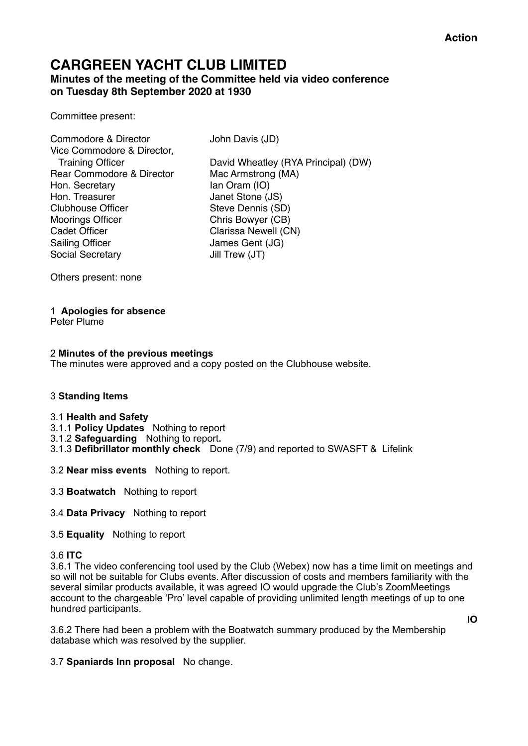## **CARGREEN YACHT CLUB LIMITED Minutes of the meeting of the Committee held via video conference on Tuesday 8th September 2020 at 1930**

Committee present:

Commodore & Director John Davis (JD) Vice Commodore & Director, Rear Commodore & Director Mac Armstrong (MA) Hon. Secretary Ian Oram (IO) Hon. Treasurer **Janet Stone (JS)** Clubhouse Officer Steve Dennis (SD) Moorings Officer Chris Bowyer (CB) Cadet Officer **Clarissa Newell (CN)** Sailing Officer James Gent (JG) Social Secretary Jill Trew (JT)

Training Officer David Wheatley (RYA Principal) (DW)

Others present: none

## 1 **Apologies for absence**

Peter Plume

### 2 **Minutes of the previous meetings**

The minutes were approved and a copy posted on the Clubhouse website.

## 3 **Standing Items**

#### 3.1 **Health and Safety**

- 3.1.1 **Policy Updates** Nothing to report
- 3.1.2 **Safeguarding** Nothing to report**.**
- 3.1.3 **Defibrillator monthly check** Done (7/9) and reported to SWASFT & Lifelink
- 3.2 **Near miss events** Nothing to report.
- 3.3 **Boatwatch** Nothing to report
- 3.4 **Data Privacy** Nothing to report
- 3.5 **Equality** Nothing to report

## 3.6 **ITC**

3.6.1 The video conferencing tool used by the Club (Webex) now has a time limit on meetings and so will not be suitable for Clubs events. After discussion of costs and members familiarity with the several similar products available, it was agreed IO would upgrade the Club's ZoomMeetings account to the chargeable 'Pro' level capable of providing unlimited length meetings of up to one hundred participants.

3.6.2 There had been a problem with the Boatwatch summary produced by the Membership

**IO** 

3.7 **Spaniards Inn proposal** No change.

database which was resolved by the supplier.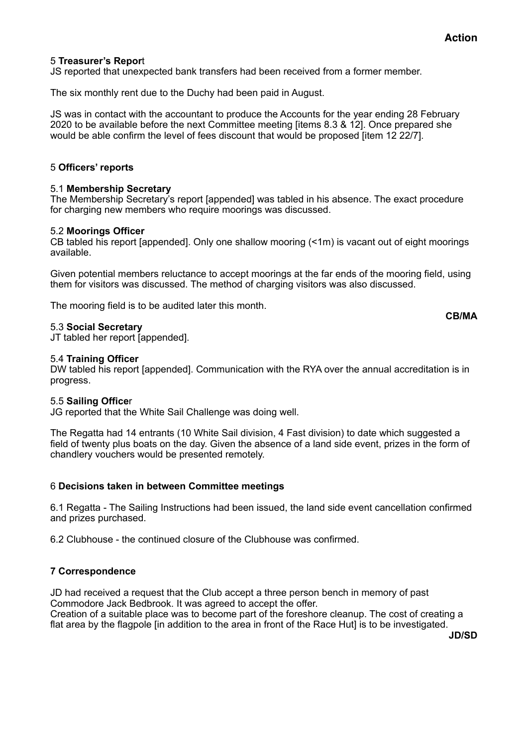**CB/MA**

## 5 **Treasurer's Repor**t

JS reported that unexpected bank transfers had been received from a former member.

The six monthly rent due to the Duchy had been paid in August.

JS was in contact with the accountant to produce the Accounts for the year ending 28 February 2020 to be available before the next Committee meeting [items 8.3 & 12]. Once prepared she would be able confirm the level of fees discount that would be proposed [item 12 22/7].

### 5 **Officers' reports**

### 5.1 **Membership Secretary**

The Membership Secretary's report [appended] was tabled in his absence. The exact procedure for charging new members who require moorings was discussed.

### 5.2 **Moorings Officer**

CB tabled his report [appended]. Only one shallow mooring (<1m) is vacant out of eight moorings available.

Given potential members reluctance to accept moorings at the far ends of the mooring field, using them for visitors was discussed. The method of charging visitors was also discussed.

The mooring field is to be audited later this month.

#### 5.3 **Social Secretary**

JT tabled her report [appended].

#### 5.4 **Training Officer**

DW tabled his report [appended]. Communication with the RYA over the annual accreditation is in progress.

#### 5.5 **Sailing Office**r

JG reported that the White Sail Challenge was doing well.

The Regatta had 14 entrants (10 White Sail division, 4 Fast division) to date which suggested a field of twenty plus boats on the day. Given the absence of a land side event, prizes in the form of chandlery vouchers would be presented remotely.

#### 6 **Decisions taken in between Committee meetings**

6.1 Regatta - The Sailing Instructions had been issued, the land side event cancellation confirmed and prizes purchased.

6.2 Clubhouse - the continued closure of the Clubhouse was confirmed.

## **7 Correspondence**

JD had received a request that the Club accept a three person bench in memory of past Commodore Jack Bedbrook. It was agreed to accept the offer. Creation of a suitable place was to become part of the foreshore cleanup. The cost of creating a flat area by the flagpole [in addition to the area in front of the Race Hut] is to be investigated.

**JD/SD**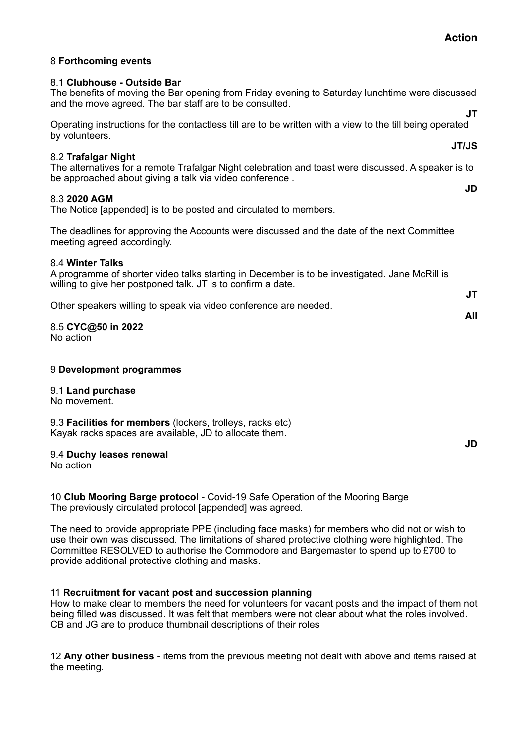## 8 **Forthcoming events**

#### 8.1 **Clubhouse - Outside Bar**

The benefits of moving the Bar opening from Friday evening to Saturday lunchtime were discussed and the move agreed. The bar staff are to be consulted.

Operating instructions for the contactless till are to be written with a view to the till being operated by volunteers.

## 8.2 **Trafalgar Night**

The alternatives for a remote Trafalgar Night celebration and toast were discussed. A speaker is to be approached about giving a talk via video conference . **JD** 

### 8.3 **2020 AGM**

The Notice [appended] is to be posted and circulated to members.

The deadlines for approving the Accounts were discussed and the date of the next Committee meeting agreed accordingly.

#### 8.4 **Winter Talks**

A programme of shorter video talks starting in December is to be investigated. Jane McRill is willing to give her postponed talk. JT is to confirm a date.

Other speakers willing to speak via video conference are needed.

#### 8.5 **CYC@50 in 2022**  No action

## 9 **Development programmes**

#### 9.1 **Land purchase**

No movement.

9.3 **Facilities for members** (lockers, trolleys, racks etc) Kayak racks spaces are available, JD to allocate them.

#### 9.4 **Duchy leases renewal**

No action

10 **Club Mooring Barge protocol** - Covid-19 Safe Operation of the Mooring Barge The previously circulated protocol [appended] was agreed.

The need to provide appropriate PPE (including face masks) for members who did not or wish to use their own was discussed. The limitations of shared protective clothing were highlighted. The Committee RESOLVED to authorise the Commodore and Bargemaster to spend up to £700 to provide additional protective clothing and masks.

## 11 **Recruitment for vacant post and succession planning**

How to make clear to members the need for volunteers for vacant posts and the impact of them not being filled was discussed. It was felt that members were not clear about what the roles involved. CB and JG are to produce thumbnail descriptions of their roles

12 **Any other business** - items from the previous meeting not dealt with above and items raised at the meeting.

**JT**

**JT/JS** 

**JT All** 

**JD**